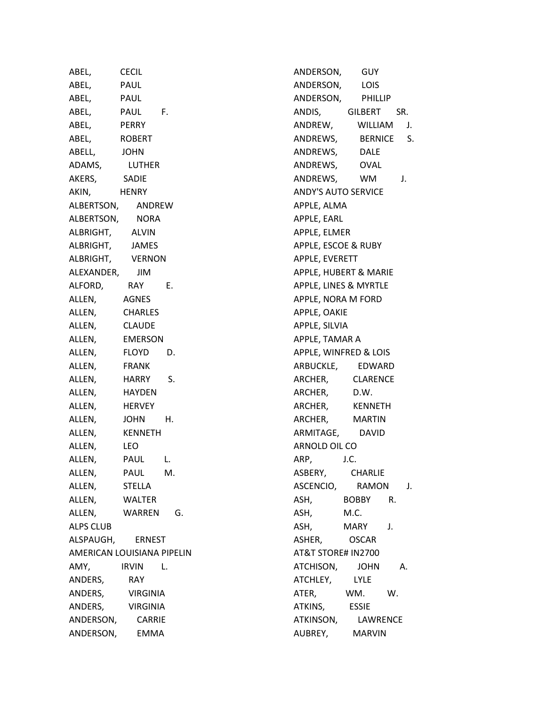| ABEL,                      | <b>CECIL</b>    |    |
|----------------------------|-----------------|----|
| ABEL,                      | PAUL            |    |
| ABEL,                      | PAUL            |    |
| ABEL,                      | PAUL            | F. |
| ABEL,                      | PERRY           |    |
| ABEL,                      | ROBERT          |    |
| ABELL,                     | <b>JOHN</b>     |    |
| ADAMS,                     | LUTHER          |    |
| AKERS,                     | SADIE           |    |
| AKIN,                      | HENRY           |    |
| ALBERTSON, ANDREW          |                 |    |
| ALBERTSON,                 | NORA            |    |
| ALBRIGHT,                  | ALVIN           |    |
| ALBRIGHT,                  | JAMES           |    |
| ALBRIGHT,                  | <b>VERNON</b>   |    |
| ALEXANDER,                 | JIM             |    |
| ALFORD,                    | RAY             | Ε. |
| ALLEN,                     | AGNES           |    |
| ALLEN,                     | <b>CHARLES</b>  |    |
| ALLEN,                     | <b>CLAUDE</b>   |    |
| ALLEN,                     | <b>EMERSON</b>  |    |
| ALLEN,                     | FLOYD           | D. |
| ALLEN,                     | <b>FRANK</b>    |    |
| ALLEN,                     | HARRY           | S. |
| ALLEN,                     | <b>HAYDEN</b>   |    |
| ALLEN,                     | HERVEY          |    |
| ALLEN,                     | <b>JOHN</b>     | Н. |
| ALLEN,                     | <b>KENNETH</b>  |    |
| ALLEN,                     | LEO             |    |
| ALLEN,                     | PAUL            | L. |
| ALLEN,                     | <b>PAUL</b>     | М. |
| ALLEN,                     | <b>STELLA</b>   |    |
| ALLEN,                     | <b>WALTER</b>   |    |
| ALLEN,                     | WARREN          | G. |
| <b>ALPS CLUB</b>           |                 |    |
| ALSPAUGH, ERNEST           |                 |    |
| AMERICAN LOUISIANA PIPELIN |                 |    |
| AMY,                       | <b>IRVIN</b>    | L. |
| ANDERS,                    | RAY             |    |
| ANDERS,                    | <b>VIRGINIA</b> |    |
| ANDERS,                    | <b>VIRGINIA</b> |    |
| ANDERSON,                  | <b>CARRIE</b>   |    |
| ANDERSON,                  | EMMA            |    |

ANDERSON, GUY ANDERSON, LOIS ANDERSON, PHILLIP ANDIS, GILBERT SR. ANDREW, WILLIAM J. ANDREWS, BERNICE S. ANDREWS, DALE ANDREWS, OVAL ANDREWS, WM J. ANDY'S AUTO SERVICE APPLE, ALMA APPLE, EARL APPLE, ELMER APPLE, ESCOE & RUBY APPLE, EVERETT APPLE, HUBERT & MARIE APPLE, LINES & MYRTLE APPLE, NORA M FORD APPLE, OAKIE APPLE, SILVIA APPLE, TAMAR A APPLE, WINFRED & LOIS ARBUCKLE, EDWARD ARCHER, CLARENCE ARCHER, D.W. ARCHER, KENNETH ARCHER, MARTIN ARMITAGE, DAVID ARNOLD OIL CO ARP, J.C. ASBERY, CHARLIE ASCENCIO, RAMON J. ASH, BOBBY R. ASH, M.C. ASH, MARY J. ASHER, OSCAR AT&T STORE# IN2700 ATCHISON, JOHN A. ATCHLEY, LYLE ATER, WM. W. ATKINS, ESSIE ATKINSON, LAWRENCE AUBREY, MARVIN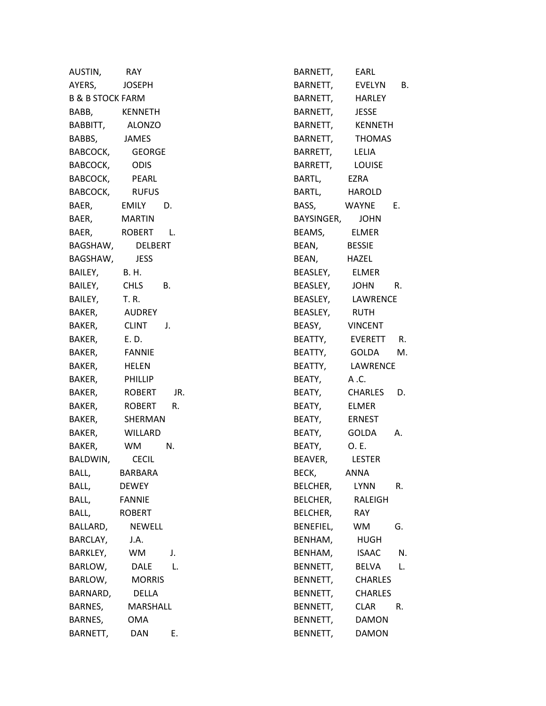| AUSTIN,                     | RAY.               |
|-----------------------------|--------------------|
| AYERS,                      | JOSEPH             |
| <b>B &amp; B STOCK FARM</b> |                    |
| BABB,                       | KENNETH            |
| BABBITT,                    | ALONZO             |
| BABBS,                      | JAMES              |
| BABCOCK,                    | GEORGE             |
| BABCOCK,                    | ODIS               |
| BABCOCK,                    | PEARL              |
| BABCOCK,                    | <b>RUFUS</b>       |
| BAER,                       | EMILY<br>D.        |
| BAER,                       | MARTIN             |
| BAER,                       | ROBERT<br>L.       |
| BAGSHAW,                    | <b>DELBERT</b>     |
| BAGSHAW,                    | <b>JESS</b>        |
| BAILEY,                     | <b>B.H.</b>        |
| BAILEY,                     | <b>CHLS</b><br>В.  |
| BAILEY,                     | T. R.              |
| BAKER,                      | <b>AUDREY</b>      |
| BAKER,                      | <b>CLINT</b><br>J. |
| BAKER,                      | E. D.              |
| BAKER,                      | <b>FANNIE</b>      |
| BAKER,                      | <b>HELEN</b>       |
| BAKER,                      | <b>PHILLIP</b>     |
| BAKER,                      | ROBERT<br>JR.      |
| BAKER,                      | ROBERT<br>R.       |
| BAKER,                      | SHERMAN            |
| BAKER,                      | WILLARD            |
| BAKER,                      | WM<br>N.           |
| BALDWIN                     | CECIL              |
| BALL,                       | BARBARA            |
| BALL,                       | <b>DEWEY</b>       |
| BALL,                       | <b>FANNIE</b>      |
| BALL,                       | <b>ROBERT</b>      |
| BALLARD,                    | <b>NEWELL</b>      |
| BARCLAY,                    | J.A.               |
| <b>BARKLEY,</b>             | WM<br>J.           |
| BARLOW,                     | L.<br>DALE         |
| BARLOW,                     | <b>MORRIS</b>      |
| BARNARD,                    | DELLA              |
| BARNES,                     | MARSHALL           |
| BARNES,                     | OMA                |
| BARNETT,                    | Ē.<br>DAN          |

| BARNETT,   | EARL           |    |
|------------|----------------|----|
| BARNETT,   | EVELYN         | В. |
| BARNETT,   | HARLEY         |    |
| BARNETT,   | <b>JESSE</b>   |    |
| BARNETT,   | KENNETH        |    |
| BARNETT,   | THOMAS         |    |
| BARRETT,   | LELIA          |    |
| BARRETT,   | Louise         |    |
| BARTL,     | <b>EZRA</b>    |    |
| BARTL,     | HAROLD         |    |
| BASS,      | WAYNE          | Е. |
| BAYSINGER, | JOHN           |    |
| BEAMS,     | ELMER          |    |
| BEAN,      | <b>BESSIE</b>  |    |
| BEAN,      | HAZEL          |    |
| BEASLEY,   | <b>ELMER</b>   |    |
| BEASLEY,   | JOHN R.        |    |
| BEASLEY,   | LAWRENCE       |    |
| BEASLEY,   | RUTH           |    |
| BEASY,     | <b>VINCENT</b> |    |
| BEATTY,    | EVERETT R.     |    |
| BEATTY,    | GOLDA M.       |    |
| BEATTY,    | LAWRENCE       |    |
| BEATY,     | A.C.           |    |
| BEATY,     | <b>CHARLES</b> | D. |
| BEATY,     | <b>ELMER</b>   |    |
| BEATY,     | ERNEST         |    |
| BEATY,     | GOLDA          | А. |
| BEATY,     | O. E.          |    |
| BEAVER,    | LESTER         |    |
| BECK,      | ANNA           |    |
| BELCHER,   | LYNN           | R. |
| BELCHER,   | RALEIGH        |    |
| BELCHER,   | RAY            |    |
| BENEFIEL,  | WМ             | G. |
| BENHAM,    | HUGH           |    |
| BENHAM,    | ISAAC          | N. |
| BENNETT,   | BELVA          | L. |
| BENNETT,   | <b>CHARLES</b> |    |
| BENNETT,   | <b>CHARLES</b> |    |
| BENNETT,   | CLAR           | R. |
| BENNETT,   | DAMON          |    |
| BENNETT,   | DAMON          |    |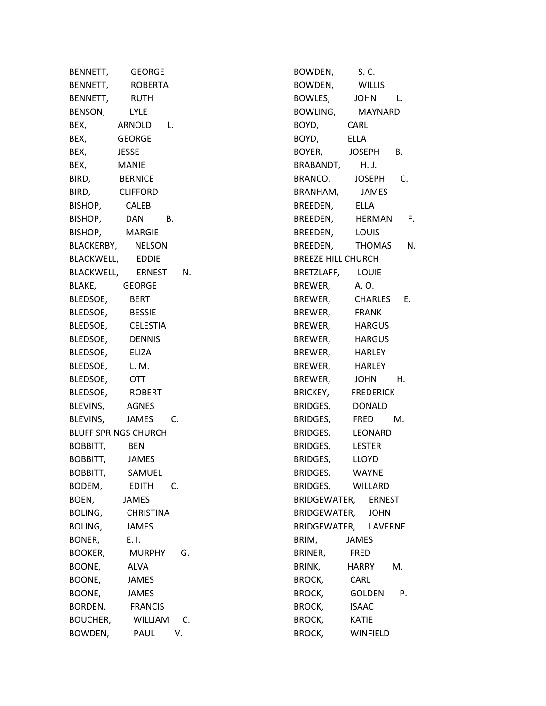BENNETT, GEORGE BENNETT, ROBERTA BENNETT, RUTH BENSON, LYLE BEX, ARNOLD L. BEX, GEORGE BEX, JESSE BEX, MANIE BIRD, BERNICE BIRD, CLIFFORD BISHOP, CALEB BISHOP, DAN B. BISHOP, MARGIE BLACKERBY, NELSON BLACKWELL, EDDIE BLACKWELL, ERNEST N. BLAKE, GEORGE BLEDSOE, BERT BLEDSOE, BESSIE BLEDSOE, CELESTIA BLEDSOE, DENNIS BLEDSOE, ELIZA BLEDSOE, L. M. BLEDSOE, OTT BLEDSOE, ROBERT BLEVINS, AGNES BLEVINS, JAMES C. BLUFF SPRINGS CHURCH BOBBITT, BEN BOBBITT, JAMES BOBBITT, SAMUEL BODEM, EDITH C. BOEN, JAMES BOLING, CHRISTINA BOLING, JAMES BONER, E. I. BOOKER, MURPHY G. BOONE, ALVA BOONE, JAMES BOONE, JAMES BORDEN, FRANCIS BOUCHER, WILLIAM C. BOWDEN, PAUL V.

BOWDEN, S. C. BOWDEN, WILLIS BOWLES, JOHN L. BOWLING, MAYNARD BOYD, CARL BOYD, ELLA BOYER, JOSEPH B. BRABANDT, H. J. BRANCO, JOSEPH C. BRANHAM, JAMES BREEDEN, ELLA BREEDEN, HERMAN F. BREEDEN, LOUIS BREEDEN, THOMAS N. BREEZE HILL CHURCH BRETZLAFF, LOUIE BREWER, A. O. BREWER, CHARLES E. BREWER, FRANK BREWER, HARGUS BREWER, HARGUS BREWER, HARLEY BREWER, HARLEY BREWER, JOHN H. BRICKEY, FREDERICK BRIDGES, DONALD BRIDGES, FRED M. BRIDGES, LEONARD BRIDGES, LESTER BRIDGES, LLOYD BRIDGES, WAYNE BRIDGES, WILLARD BRIDGEWATER, ERNEST BRIDGEWATER, JOHN BRIDGEWATER, LAVERNE BRIM, JAMES BRINER, FRED BRINK, HARRY M. BROCK, CARL BROCK, GOLDEN P. BROCK, ISAAC BROCK, KATIE BROCK, WINFIELD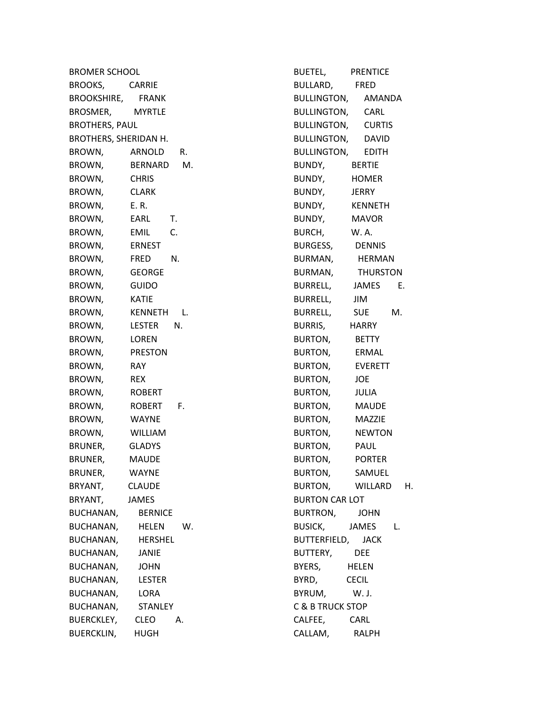BROMER SCHOOL BROOKS, CARRIE BROOKSHIRE, FRANK BROSMER, MYRTLE BROTHERS, PAUL BROTHERS, SHERIDAN H. BROWN, ARNOLD R. BROWN, BERNARD M. BROWN, CHRIS BROWN, CLARK BROWN, E. R. BROWN, EARL T. BROWN, EMIL C. BROWN, ERNEST BROWN, FRED N. BROWN, GEORGE BROWN, GUIDO BROWN, KATIE BROWN, KENNETH L. BROWN, LESTER N. BROWN, LOREN BROWN, PRESTON BROWN, RAY BROWN, REX BROWN, ROBERT BROWN, ROBERT F. BROWN, WAYNE BROWN, WILLIAM BRUNER, GLADYS BRUNER, MAUDE BRUNER, WAYNE BRYANT, CLAUDE BRYANT, JAMES BUCHANAN, BERNICE BUCHANAN, HELEN W. BUCHANAN, HERSHEL BUCHANAN, JANIE BUCHANAN, JOHN BUCHANAN, LESTER BUCHANAN, LORA BUCHANAN, STANLEY BUERCKLEY, CLEO A. BUERCKLIN, HUGH

BUETEL, PRENTICE BULLARD, FRED BULLINGTON, AMANDA BULLINGTON, CARL BULLINGTON, CURTIS BULLINGTON, DAVID BULLINGTON, EDITH BUNDY, BERTIE BUNDY, HOMER BUNDY, JERRY BUNDY, KENNETH BUNDY, MAVOR BURCH, W. A. BURGESS, DENNIS BURMAN, HERMAN BURMAN, THURSTON BURRELL, JAMES E. BURRELL, JIM BURRELL, SUE M. BURRIS, HARRY BURTON, BETTY BURTON, ERMAL BURTON, EVERETT BURTON, JOE BURTON, JULIA BURTON, MAUDE BURTON, MAZZIE BURTON, NEWTON BURTON, PAUL BURTON, PORTER BURTON, SAMUEL BURTON, WILLARD H. BURTON CAR LOT BURTRON, JOHN BUSICK, JAMES L. BUTTERFIELD, JACK BUTTERY, DEE BYERS, HELEN BYRD, CECIL BYRUM, W. J. C & B TRUCK STOP CALFEE, CARL CALLAM, RALPH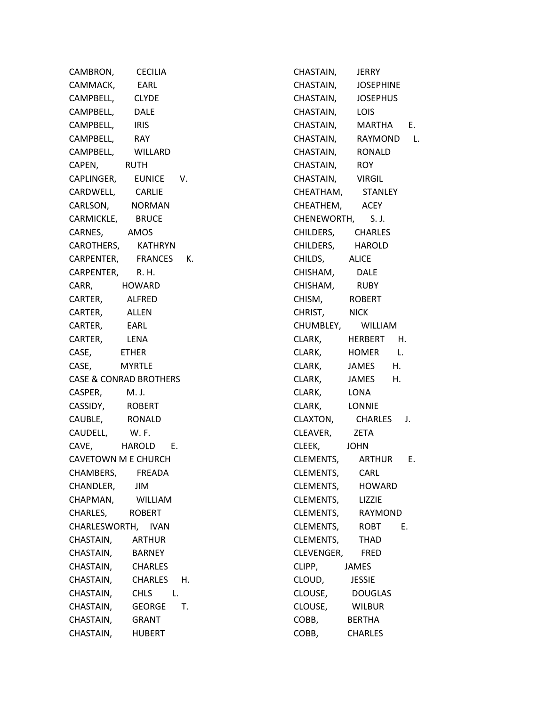| CAMBRON,           | <b>CECILIA</b>                    |
|--------------------|-----------------------------------|
| CAMMACK, EARL      |                                   |
| CAMPBELL, CLYDE    |                                   |
| CAMPBELL, DALE     |                                   |
| CAMPBELL, IRIS     |                                   |
| CAMPBELL, RAY      |                                   |
|                    | CAMPBELL, WILLARD                 |
| CAPEN,             | <b>RUTH</b>                       |
|                    | CAPLINGER, EUNICE<br>۷.           |
| CARDWELL, CARLIE   |                                   |
|                    | CARLSON, NORMAN                   |
| CARMICKLE, BRUCE   |                                   |
| CARNES, AMOS       |                                   |
|                    | CAROTHERS, KATHRYN                |
|                    | CARPENTER, FRANCES K.             |
| CARPENTER, R. H.   |                                   |
| CARR,              | <b>HOWARD</b>                     |
| CARTER, ALFRED     |                                   |
| CARTER, ALLEN      |                                   |
| CARTER, EARL       |                                   |
| CARTER,            | LENA                              |
| CASE,              | <b>ETHER</b>                      |
| CASE,              | <b>MYRTLE</b>                     |
|                    | <b>CASE &amp; CONRAD BROTHERS</b> |
| CASPER, M.J.       |                                   |
| CASSIDY, ROBERT    |                                   |
| CAUBLE, RONALD     |                                   |
|                    |                                   |
|                    | CAUDELL, W.F.<br>CAVE, HAROLD E.  |
|                    | CAVETOWN M E CHURCH               |
| CHAMBERS,          | <b>FREADA</b>                     |
| CHANDLER,          | JIM                               |
| CHAPMAN,           | WILLIAM                           |
| CHARLES,           | <b>ROBERT</b>                     |
| CHARLESWORTH, IVAN |                                   |
| CHASTAIN, ARTHUR   |                                   |
| CHASTAIN,          | <b>BARNEY</b>                     |
| CHASTAIN,          | <b>CHARLES</b>                    |
| CHASTAIN,          | CHARLES<br>Н.                     |
| CHASTAIN,          | <b>CHLS</b><br>L.                 |
| CHASTAIN,          | Т.<br><b>GEORGE</b>               |
| CHASTAIN,          | GRANT                             |
| CHASTAIN,          | <b>HUBERT</b>                     |

CHASTAIN, JERRY CHASTAIN, JOSEPHINE CHASTAIN, JOSEPHUS CHASTAIN, LOIS CHASTAIN, MARTHA E. CHASTAIN, RAYMOND L. CHASTAIN, RONALD CHASTAIN, ROY CHASTAIN, VIRGIL CHEATHAM, STANLEY CHEATHEM, ACEY CHENEWORTH, S. J. CHILDERS, CHARLES CHILDERS, HAROLD CHILDS, ALICE CHISHAM, DALE CHISHAM, RUBY CHISM, ROBERT CHRIST, NICK CHUMBLEY, WILLIAM CLARK, HERBERT H. CLARK, HOMER L. CLARK, JAMES H. CLARK, JAMES H. CLARK, LONA CLARK, LONNIE CLAXTON, CHARLES J. CLEAVER, ZETA CLEEK, JOHN CLEMENTS, ARTHUR E. CLEMENTS, CARL CLEMENTS, HOWARD CLEMENTS, LIZZIE CLEMENTS, RAYMOND CLEMENTS, ROBT E. CLEMENTS, THAD CLEVENGER, FRED CLIPP, JAMES CLOUD, JESSIE CLOUSE, DOUGLAS CLOUSE, WILBUR COBB, BERTHA COBB, CHARLES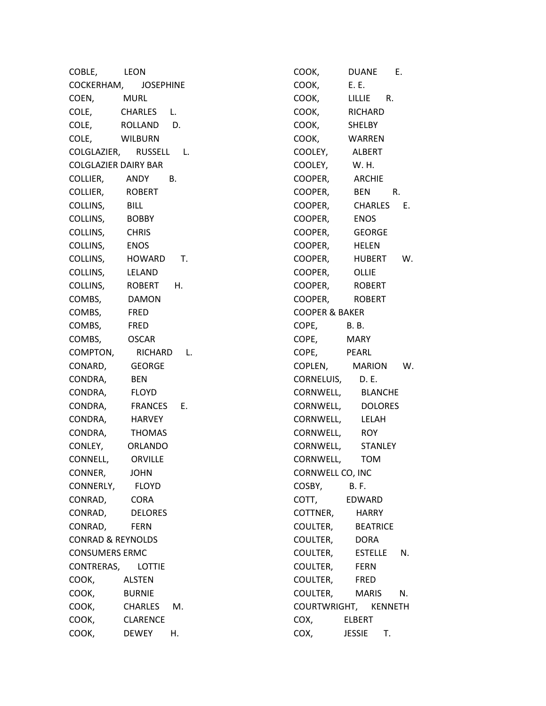COBLE, LEON COCKERHAM, JOSEPHINE COEN, MURL COLE, CHARLES L. COLE, ROLLAND D. COLE, WILBURN COLGLAZIER, RUSSELL L. COLGLAZIER DAIRY BAR COLLIER, ANDY B. COLLIER, ROBERT COLLINS, BILL COLLINS, BOBBY COLLINS, CHRIS COLLINS, ENOS COLLINS, HOWARD T. COLLINS, LELAND COLLINS, ROBERT H. COMBS, DAMON COMBS, FRED COMBS, FRED COMBS, OSCAR COMPTON, RICHARD L. CONARD, GEORGE CONDRA, BEN CONDRA, FLOYD CONDRA, FRANCES E. CONDRA, HARVEY CONDRA, THOMAS CONLEY, ORLANDO CONNELL, ORVILLE CONNER, JOHN CONNERLY, FLOYD CONRAD, CORA CONRAD, DELORES CONRAD, FERN CONRAD & REYNOLDS CONSUMERS ERMC CONTRERAS, LOTTIE COOK, ALSTEN COOK, BURNIE COOK, CHARLES M. COOK, CLARENCE COOK, DEWEY H.

COOK, DUANE E. COOK, E. E. COOK, LILLIE R. COOK, RICHARD COOK, SHELBY COOK, WARREN COOLEY, ALBERT COOLEY, W. H. COOPER, ARCHIE COOPER, BEN R. COOPER, CHARLES E. COOPER, ENOS COOPER, GEORGE COOPER, HELEN COOPER, HUBERT W. COOPER, OLLIE COOPER, ROBERT COOPER, ROBERT COOPER & BAKER COPE, B. B. COPE, MARY COPE, PEARL COPLEN, MARION W. CORNELUIS, D. E. CORNWELL, BLANCHE CORNWELL, DOLORES CORNWELL, LELAH CORNWELL, ROY CORNWELL, STANLEY CORNWELL, TOM CORNWELL CO, INC COSBY, B. F. COTT, EDWARD COTTNER, HARRY COULTER, BEATRICE COULTER, DORA COULTER, ESTELLE N. COULTER, FERN COULTER, FRED COULTER, MARIS N. COURTWRIGHT, KENNETH COX, ELBERT COX, JESSIE T.